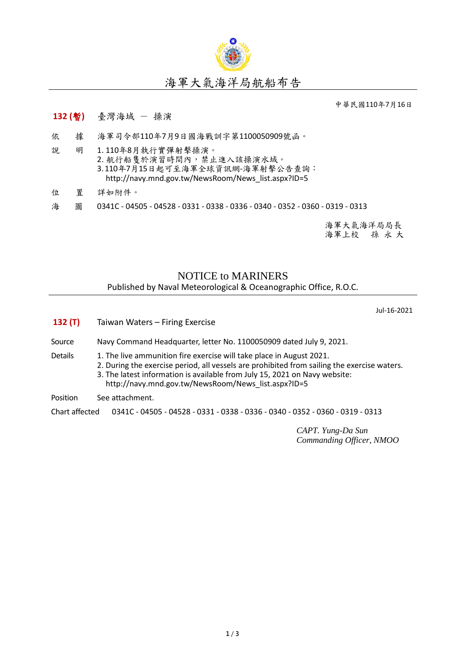

## 海軍大氣海洋局航船布告

中華民國110年7月16日

## **132 (**暫**)** 臺灣海域 - 操演

- 依 據 海軍司令部110年7月9日國海戰訓字第1100050909號函。
- 說 明 1. 110年8月執行實彈射擊操演。 2. 航行船售於演習時間內,禁止進入該操演水域。 3.110年7月15日起可至海軍全球資訊網-海軍射擊公告查詢: [http://navy.mnd.gov.tw/NewsRoom/News\\_list.aspx?ID=5](http://navy.mnd.gov.tw/NewsRoom/News_list.aspx?ID=5)
- 位 置 詳如附件。
- 海 圖 0341C 04505 04528 0331 0338 0336 0340 0352 0360 0319 0313

海軍大氣海洋局局長 海軍上校 孫 永 大

## NOTICE to MARINERS Published by Naval Meteorological & Oceanographic Office, R.O.C.

Jul-16-2021

| 132(T)         | Taiwan Waters - Firing Exercise                                                                                                                                                                                                                                                                          |  |  |  |
|----------------|----------------------------------------------------------------------------------------------------------------------------------------------------------------------------------------------------------------------------------------------------------------------------------------------------------|--|--|--|
| Source         | Navy Command Headquarter, letter No. 1100050909 dated July 9, 2021.                                                                                                                                                                                                                                      |  |  |  |
| Details        | 1. The live ammunition fire exercise will take place in August 2021.<br>2. During the exercise period, all vessels are prohibited from sailing the exercise waters.<br>3. The latest information is available from July 15, 2021 on Navy website:<br>http://navy.mnd.gov.tw/NewsRoom/News list.aspx?ID=5 |  |  |  |
| Position       | See attachment.                                                                                                                                                                                                                                                                                          |  |  |  |
| Chart affected | 0341C - 04505 - 04528 - 0331 - 0338 - 0336 - 0340 - 0352 - 0360 - 0319 - 0313                                                                                                                                                                                                                            |  |  |  |

*CAPT. Yung-Da Sun Commanding Officer, NMOO*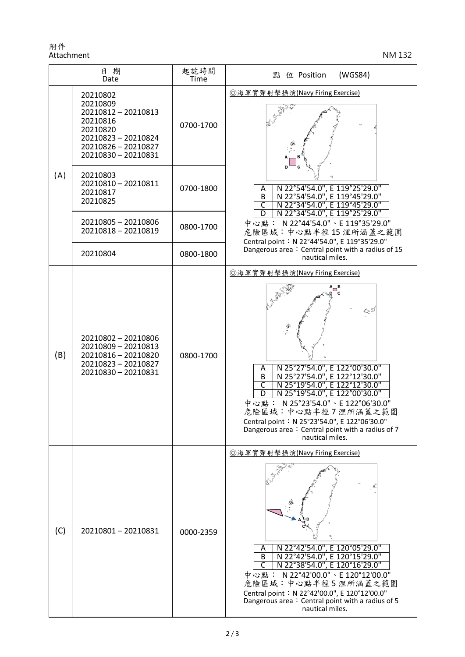附件 Attachment NM 132

| 日期<br>Date |                                                                                                                                        | 起訖時間<br>Time | (WGS84)<br>點 位 Position                                                                                                                                                                                                                                                                                                                                                                                           |
|------------|----------------------------------------------------------------------------------------------------------------------------------------|--------------|-------------------------------------------------------------------------------------------------------------------------------------------------------------------------------------------------------------------------------------------------------------------------------------------------------------------------------------------------------------------------------------------------------------------|
| (A)        | 20210802<br>20210809<br>20210812 - 20210813<br>20210816<br>20210820<br>20210823-20210824<br>20210826 - 20210827<br>20210830 - 20210831 | 0700-1700    | ◎海軍實彈射擊操演(Navy Firing Exercise)<br>N 22°54'54.0", E 119°25'29.0"<br>Α<br>N 22°54'54.0", E 119°45'29.0"<br>$\overline{B}$<br>N 22°34'54.0", E 119°45'29.0"<br>C<br>D<br>N 22°34'54.0", E 119°25'29.0"<br>中心點: N22°44'54.0"、E 119°35'29.0"<br>危險區域:中心點半徑15浬所涵蓋之範圍<br>Central point: N 22°44'54.0", E 119°35'29.0"<br>Dangerous area: Central point with a radius of 15<br>nautical miles.                           |
|            | 20210803<br>20210810 - 20210811<br>20210817<br>20210825                                                                                | 0700-1800    |                                                                                                                                                                                                                                                                                                                                                                                                                   |
|            | 20210805 - 20210806<br>20210818 - 20210819                                                                                             | 0800-1700    |                                                                                                                                                                                                                                                                                                                                                                                                                   |
|            | 20210804                                                                                                                               | 0800-1800    |                                                                                                                                                                                                                                                                                                                                                                                                                   |
| (B)        | 20210802 - 20210806<br>20210809 - 20210813<br>20210816 - 20210820<br>20210823-20210827<br>20210830 - 20210831                          | 0800-1700    | ◎海軍實彈射擊操演(Navy Firing Exercise)<br>N 25°27'54.0", E 122°00'30.0"<br>Α<br>N 25°27'54.0", E 122°12'30.0"<br>N 25°19'54.0", E 122°12'30.0"<br>$\overline{B}$<br>$\overline{\mathsf{c}}$<br>N 25°19'54.0", E 122°00'30.0"<br>D<br>N 25°23'54.0" \ E 122°06'30.0"<br>中心點:<br>危險區域:中心點半徑7浬所涵蓋之範圍<br>Central point: N 25°23'54.0", E 122°06'30.0"<br>Dangerous area: Central point with a radius of 7<br>nautical miles. |
| (C)        | 20210801-20210831                                                                                                                      | 0000-2359    | ◎海軍實彈射擊操演(Navy Firing Exercise)<br>N 22°42'54.0", E 120°05'29.0"<br>Α<br>N 22°42'54.0", E 120°15'29.0"<br>B<br>N 22°38'54.0", E 120°16'29.0"<br>中心點: N 22°42'00.0"、E 120°12'00.0"<br>危險區域:中心點半徑5浬所涵蓋之範圍<br>Central point: N 22°42'00.0", E 120°12'00.0"<br>Dangerous area: Central point with a radius of 5<br>nautical miles.                                                                                    |